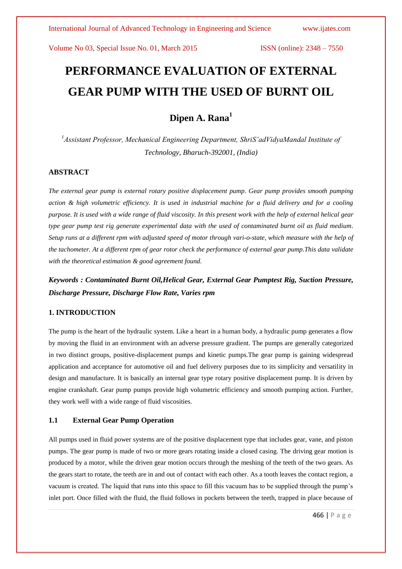# **PERFORMANCE EVALUATION OF EXTERNAL GEAR PUMP WITH THE USED OF BURNT OIL**

**Dipen A. Rana<sup>1</sup>**

*<sup>1</sup>Assistant Professor, Mechanical Engineering Department, ShriS'adVidyaMandal Institute of Technology, Bharuch-392001, (India)*

### **ABSTRACT**

*The external gear pump is external rotary positive displacement pump. Gear pump provides smooth pumping action & high volumetric efficiency. It is used in industrial machine for a fluid delivery and for a cooling purpose. It is used with a wide range of fluid viscosity. In this present work with the help of external helical gear type gear pump test rig generate experimental data with the used of contaminated burnt oil as fluid medium. Setup runs at a different rpm with adjusted speed of motor through vari-o-state, which measure with the help of the tachometer. At a different rpm of gear rotor check the performance of external gear pump.This data validate with the theoretical estimation & good agreement found.*

*Keywords : Contaminated Burnt Oil,Helical Gear, External Gear Pumptest Rig, Suction Pressure, Discharge Pressure, Discharge Flow Rate, Varies rpm*

# **1. INTRODUCTION**

The pump is the heart of the hydraulic system. Like a heart in a human body, a hydraulic pump generates a flow by moving the fluid in an environment with an adverse pressure gradient. The pumps are generally categorized in two distinct groups, positive-displacement pumps and kinetic pumps.The gear pump is gaining widespread application and acceptance for automotive oil and fuel delivery purposes due to its simplicity and versatility in design and manufacture. It is basically an internal gear type rotary positive displacement pump. It is driven by engine crankshaft. Gear pump pumps provide high volumetric efficiency and smooth pumping action. Further, they work well with a wide range of fluid viscosities.

#### **1.1 External Gear Pump Operation**

All pumps used in fluid power systems are of the positive displacement type that includes gear, vane, and piston pumps. The gear pump is made of two or more gears rotating inside a closed casing. The driving gear motion is produced by a motor, while the driven gear motion occurs through the meshing of the teeth of the two gears. As the gears start to rotate, the teeth are in and out of contact with each other. As a tooth leaves the contact region, a vacuum is created. The liquid that runs into this space to fill this vacuum has to be supplied through the pump's inlet port. Once filled with the fluid, the fluid follows in pockets between the teeth, trapped in place because of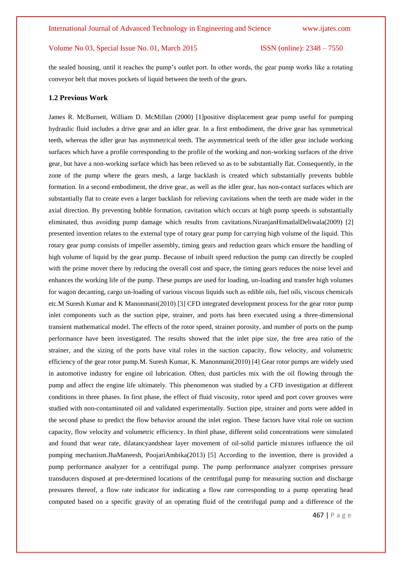the sealed housing, until it reaches the pump's outlet port. In other words, the gear pump works like a rotating conveyor belt that moves pockets of liquid between the teeth of the gears.

#### **1.2 Previous Work**

James R. McBurnett, William D. McMillan (2000) [1]positive displacement gear pump useful for pumping hydraulic fluid includes a drive gear and an idler gear. In a first embodiment, the drive gear has symmetrical teeth, whereas the idler gear has asymmetrical teeth. The asymmetrical teeth of the idler gear include working surfaces which have a profile corresponding to the profile of the working and non-working surfaces of the drive gear, but have a non-working surface which has been relieved so as to be substantially flat. Consequently, in the zone of the pump where the gears mesh, a large backlash is created which substantially prevents bubble formation. In a second embodiment, the drive gear, as well as the idler gear, has non-contact surfaces which are substantially flat to create even a larger backlash for relieving cavitations when the teeth are made wider in the axial direction. By preventing bubble formation, cavitation which occurs at high pump speeds is substantially eliminated, thus avoiding pump damage which results from cavitations.NiranjanHimatlalDeliwala(2009) [2] presented invention relates to the external type of rotary gear pump for carrying high volume of the liquid. This rotary gear pump consists of impeller assembly, timing gears and reduction gears which ensure the handling of high volume of liquid by the gear pump. Because of inbuilt speed reduction the pump can directly be coupled with the prime mover there by reducing the overall cost and space, the timing gears reduces the noise level and enhances the working life of the pump. These pumps are used for loading, un-loading and transfer high volumes for wagon decanting, cargo un-loading of various viscous liquids such as edible oils, fuel oils, viscous chemicals etc.M Suresh Kumar and K Manonmani(2010) [3] CFD integrated development process for the gear rotor pump inlet components such as the suction pipe, strainer, and ports has been executed using a three-dimensional transient mathematical model. The effects of the rotor speed, strainer porosity, and number of ports on the pump performance have been investigated. The results showed that the inlet pipe size, the free area ratio of the strainer, and the sizing of the ports have vital roles in the suction capacity, flow velocity, and volumetric efficiency of the gear rotor pump.M. Suresh Kumar, K. Manonmani(2010) [4] Gear rotor pumps are widely used in automotive industry for engine oil lubrication. Often, dust particles mix with the oil flowing through the pump and affect the engine life ultimately. This phenomenon was studied by a CFD investigation at different conditions in three phases. In first phase, the effect of fluid viscosity, rotor speed and port cover grooves were studied with non-contaminated oil and validated experimentally. Suction pipe, strainer and ports were added in the second phase to predict the flow behavior around the inlet region. These factors have vital role on suction capacity, flow velocity and volumetric efficiency. In third phase, different solid concentrations were simulated and found that wear rate, dilatancyandshear layer movement of oil-solid particle mixtures influence the oil pumping mechanism.JhaManeesh, PoojariAmbika(2013) [5] According to the invention, there is provided a pump performance analyzer for a centrifugal pump. The pump performance analyzer comprises pressure transducers disposed at pre-determined locations of the centrifugal pump for measuring suction and discharge pressures thereof, a flow rate indicator for indicating a flow rate corresponding to a pump operating head computed based on a specific gravity of an operating fluid of the centrifugal pump and a difference of the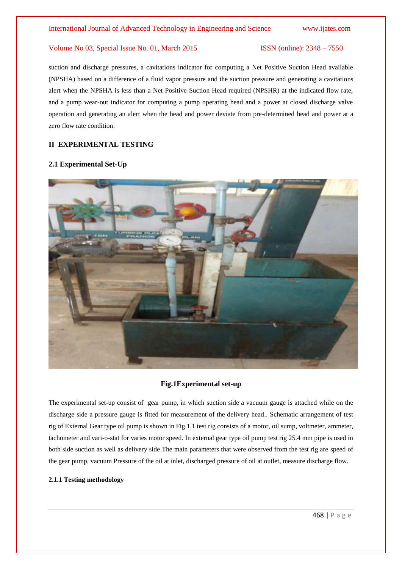suction and discharge pressures, a cavitations indicator for computing a Net Positive Suction Head available (NPSHA) based on a difference of a fluid vapor pressure and the suction pressure and generating a cavitations alert when the NPSHA is less than a Net Positive Suction Head required (NPSHR) at the indicated flow rate, and a pump wear-out indicator for computing a pump operating head and a power at closed discharge valve operation and generating an alert when the head and power deviate from pre-determined head and power at a zero flow rate condition.

# **II EXPERIMENTAL TESTING**

### **2.1 Experimental Set-Up**



#### **Fig.1Experimental set-up**

The experimental set-up consist of gear pump, in which suction side a vacuum gauge is attached while on the discharge side a pressure gauge is fitted for measurement of the delivery head.. Schematic arrangement of test rig of External Gear type oil pump is shown in Fig.1.1 test rig consists of a motor, oil sump, voltmeter, ammeter, tachometer and vari-o-stat for varies motor speed. In external gear type oil pump test rig 25.4 mm pipe is used in both side suction as well as delivery side.The main parameters that were observed from the test rig are speed of the gear pump, vacuum Pressure of the oil at inlet, discharged pressure of oil at outlet, measure discharge flow.

### **2.1.1 Testing methodology**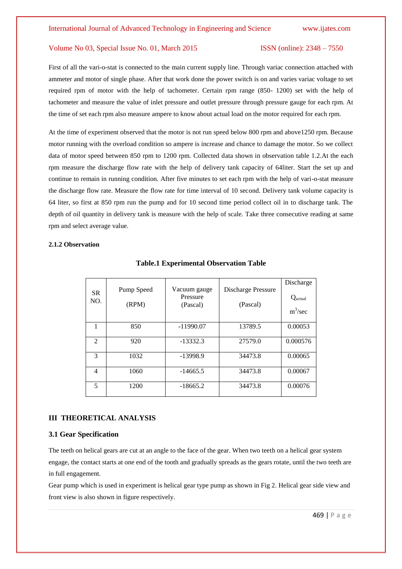First of all the vari-o-stat is connected to the main current supply line. Through variac connection attached with ammeter and motor of single phase. After that work done the power switch is on and varies variac voltage to set required rpm of motor with the help of tachometer. Certain rpm range (850- 1200) set with the help of tachometer and measure the value of inlet pressure and outlet pressure through pressure gauge for each rpm. At the time of set each rpm also measure ampere to know about actual load on the motor required for each rpm.

At the time of experiment observed that the motor is not run speed below 800 rpm and above1250 rpm. Because motor running with the overload condition so ampere is increase and chance to damage the motor. So we collect data of motor speed between 850 rpm to 1200 rpm. Collected data shown in observation table 1.2.At the each rpm measure the discharge flow rate with the help of delivery tank capacity of 64liter. Start the set up and continue to remain in running condition. After five minutes to set each rpm with the help of vari-o-stat measure the discharge flow rate. Measure the flow rate for time interval of 10 second. Delivery tank volume capacity is 64 liter, so first at 850 rpm run the pump and for 10 second time period collect oil in to discharge tank. The depth of oil quantity in delivery tank is measure with the help of scale. Take three consecutive reading at same rpm and select average value.

#### **2.1.2 Observation**

| <b>SR</b><br>NO. | Pump Speed<br>(RPM) | Vacuum gauge<br>Pressure<br>(Pascal) | Discharge Pressure<br>(Pascal) | Discharge<br>$Q_{\text{actual}}$<br>$m^3$ /sec |
|------------------|---------------------|--------------------------------------|--------------------------------|------------------------------------------------|
|                  | 850                 | $-11990.07$                          | 13789.5                        | 0.00053                                        |
| $\mathfrak{D}$   | 920                 | $-13332.3$                           | 27579.0                        | 0.000576                                       |
| 3                | 1032                | $-13998.9$                           | 34473.8                        | 0.00065                                        |
| $\overline{4}$   | 1060                | $-14665.5$                           | 34473.8                        | 0.00067                                        |
| 5                | 1200                | $-18665.2$                           | 34473.8                        | 0.00076                                        |

### **Table.1 Experimental Observation Table**

# **III THEORETICAL ANALYSIS**

#### **3.1 Gear Specification**

The teeth on helical gears are cut at an angle to the face of the gear. When two teeth on a helical gear system engage, the contact starts at one end of the tooth and gradually spreads as the gears rotate, until the two teeth are in full engagement.

Gear pump which is used in experiment is helical gear type pump as shown in Fig 2. Helical gear side view and front view is also shown in figure respectively.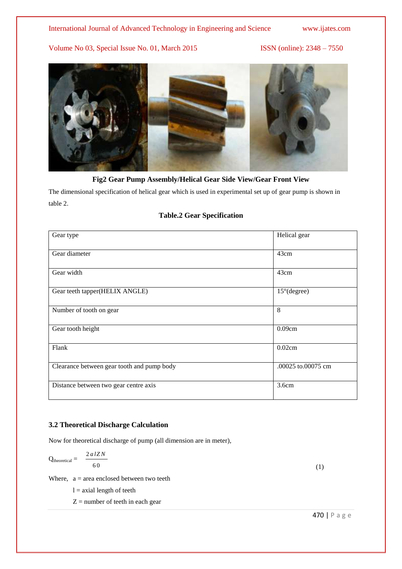

**Fig2 Gear Pump Assembly/Helical Gear Side View/Gear Front View**

The dimensional specification of helical gear which is used in experimental set up of gear pump is shown in table 2.

# **Table.2 Gear Specification**

| Gear type                                  | Helical gear          |
|--------------------------------------------|-----------------------|
| Gear diameter                              | 43cm                  |
| Gear width                                 | 43cm                  |
| Gear teeth tapper(HELIX ANGLE)             | $15^{\circ}$ (degree) |
| Number of tooth on gear                    | 8                     |
| Gear tooth height                          | 0.09cm                |
| Flank                                      | 0.02cm                |
| Clearance between gear tooth and pump body | .00025 to.00075 cm    |
| Distance between two gear centre axis      | 3.6cm                 |

# **3.2 Theoretical Discharge Calculation**

Now for theoretical discharge of pump (all dimension are in meter),

$$
Q_{\text{theoretical}} = \frac{2 \, a \, l Z N}{60}
$$

Where,  $a = \text{area enclosed between two teeth}$ 

 $l =$  axial length of teeth

 $Z =$  number of teeth in each gear

(1)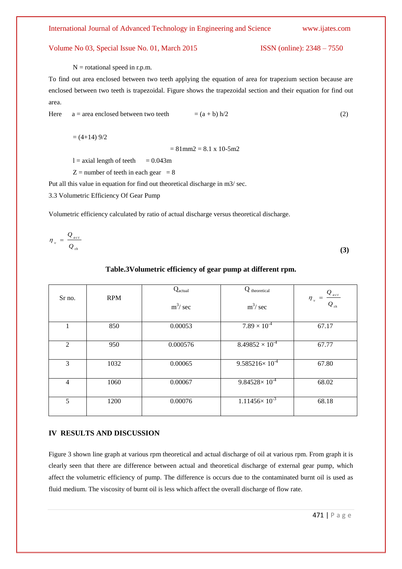$N =$  rotational speed in r.p.m.

To find out area enclosed between two teeth applying the equation of area for trapezium section because are enclosed between two teeth is trapezoidal. Figure shows the trapezoidal section and their equation for find out area.

Here 
$$
a = \text{area enclosed between two teeth} = (a + b) h/2
$$
 (2)

 $= (4+14)$  9/2

 $= 81$ mm2  $= 8.1$  x 10-5m2

 $l = axial length of teeth = 0.043m$ 

 $Z =$  number of teeth in each gear  $= 8$ 

Put all this value in equation for find out theoretical discharge in m3/ sec.

3.3 Volumetric Efficiency Of Gear Pump

Volumetric efficiency calculated by ratio of actual discharge versus theoretical discharge.

$$
\eta_{v} = \frac{Q_{act}}{Q_{th}}
$$
 (3)

# **Table.3Volumetric efficiency of gear pump at different rpm.**

| Sr no.         | <b>RPM</b> | Q <sub>actual</sub><br>$m^3$ / sec | Q theoretical<br>$m^3$ / sec | $Q_{_{act}}$<br>$\eta_{v}$<br>$Q_{th}$ |
|----------------|------------|------------------------------------|------------------------------|----------------------------------------|
| 1              | 850        | 0.00053                            | $7.89 \times 10^{-4}$        | 67.17                                  |
| 2              | 950        | 0.000576                           | $8.49852 \times 10^{-4}$     | 67.77                                  |
| 3              | 1032       | 0.00065                            | $9.585216 \times 10^{-4}$    | 67.80                                  |
| $\overline{4}$ | 1060       | 0.00067                            | $9.84528 \times 10^{-4}$     | 68.02                                  |
| 5              | 1200       | 0.00076                            | $1.11456 \times 10^{-3}$     | 68.18                                  |

#### **IV RESULTS AND DISCUSSION**

Figure 3 shown line graph at various rpm theoretical and actual discharge of oil at various rpm. From graph it is clearly seen that there are difference between actual and theoretical discharge of external gear pump, which affect the volumetric efficiency of pump. The difference is occurs due to the contaminated burnt oil is used as fluid medium. The viscosity of burnt oil is less which affect the overall discharge of flow rate.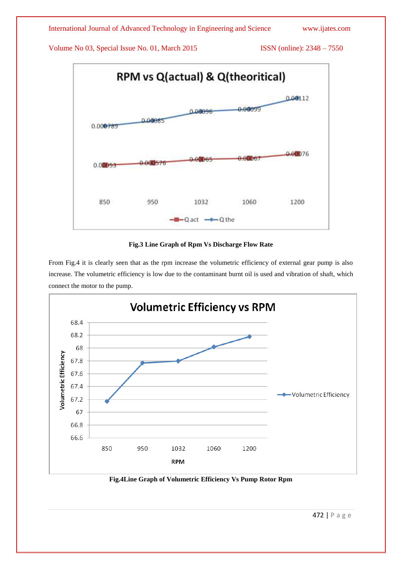

# **Fig.3 Line Graph of Rpm Vs Discharge Flow Rate**

From Fig.4 it is clearly seen that as the rpm increase the volumetric efficiency of external gear pump is also increase. The volumetric efficiency is low due to the contaminant burnt oil is used and vibration of shaft, which connect the motor to the pump.



**Fig.4Line Graph of Volumetric Efficiency Vs Pump Rotor Rpm**